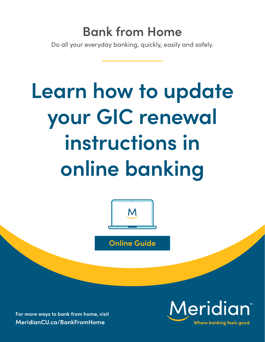## **Bank from Home**

Do all your everyday banking, quickly, easily and safely.

# **Learn how to update your GIC renewal instructions in online banking**



**Online Guide**

**For more ways to bank from home, visit [MeridianCU.ca/BankFromHome](http://MeridianCU.ca/BankFromHome)**

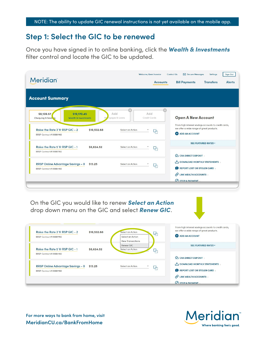#### **Step 1: Select the GIC to be renewed**

Once you have signed in to online banking, click the *Wealth & Investments*  filter control and locate the GIC to be updated.

| <b>Meridian</b>                                                                                                                                                  | Welcome, Keen Investor<br><b>Accounts</b>                                 | Secure Messages<br><b>Sign Out</b><br>Contact Us<br><b>Settings</b><br><b>Bill Payments</b><br><b>Transfers</b><br><b>Alerts</b>                         |
|------------------------------------------------------------------------------------------------------------------------------------------------------------------|---------------------------------------------------------------------------|----------------------------------------------------------------------------------------------------------------------------------------------------------|
| <b>Account Summary</b>                                                                                                                                           |                                                                           |                                                                                                                                                          |
| \$9,139.57<br>\$19,170.45<br><b>Wealth &amp; Investments</b><br>Chequing & Savil 15<br>Raise the Rate 3 Yr RSP GIC - 2<br>\$10,532.68<br>RRSP Contract #99887766 | Add<br>Add<br>tgages & Loans<br>Credit Cards<br>Select an Action<br>رائبا | <b>Open A New Account</b><br>From high interest savings accounts to credit cards,<br>we offer a wide range of great products.<br><b>C</b> ADD AN ACCOUNT |
| Raise the Rate 5 Yr RSP GIC - 1<br>\$8,624.52<br>RRSP Contract #99887766                                                                                         | Select an Action<br>φ,                                                    | <b>SEE FEATURED RATES *</b><br>CRA DIRECT DEPOSIT                                                                                                        |
| RRSP Online Advantage Savings - 0<br>\$13.25<br>RRSP Contract # 99887766                                                                                         | Select an Action<br>−لېا                                                  | DOWNLOAD MONTHLY STATEMENTS<br>REPORT LOST OR STOLEN CARD<br>$\odot$ LINK WEALTH ACCOUNTS<br><b>OSTOP A PAYMENT</b>                                      |

On the GIC you would like to renew *Select an Action* drop down menu on the GIC and select *Renew GIC*.

| Raise the Rate 3 Yr RSP GIC - 2   | \$10,532.68 | Select an Action<br>Ģ,   | we offer a wide range of great products. |
|-----------------------------------|-------------|--------------------------|------------------------------------------|
| RRSP Contract #99887766           |             | Select an Action         | <b>O</b> ADD AN ACCOUNT                  |
|                                   |             | <b>View Transactions</b> |                                          |
|                                   |             | Renew GIC                | <b>SEE FEATURED RATES *</b>              |
| Raise the Rate 5 Yr RSP GIC - 1   | \$8,624.52  | Select an Action<br>−لتا |                                          |
| RRSP Contract # 99887766          |             |                          |                                          |
|                                   |             |                          | CRA DIRECT DEPOSIT                       |
| RRSP Online Advantage Savings - 0 | \$13.25     | Select an Action<br>φ,   | I DOWNLOAD MONTHLY STATEMENTS            |
| RRSP Contract #99887766           |             |                          | REPORT LOST OR STOLEN CARD               |
|                                   |             |                          | UNK WEALTH ACCOUNTS                      |
|                                   |             |                          | $\Omega$ STOP A PAYMENT                  |

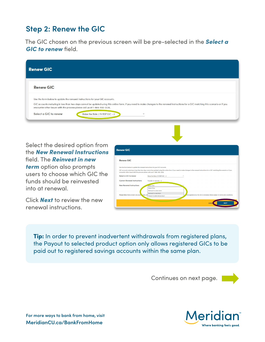### **Step 2: Renew the GIC**

The GIC chosen on the previous screen will be pre-selected in the *Select a GIC to renew* field.

| <b>Renew GIC</b>      |                                                                                                                                                                                                                                                                                                                                                       |
|-----------------------|-------------------------------------------------------------------------------------------------------------------------------------------------------------------------------------------------------------------------------------------------------------------------------------------------------------------------------------------------------|
| <b>Renew GIC</b>      |                                                                                                                                                                                                                                                                                                                                                       |
|                       | Use the form below to update the renewal instructions for your GIC accounts.<br>GIC accounts maturing in less than two days cannot be updated using this online form. If you need to make changes to the renewal instructions for a GIC matching this scenario or if you<br>encounter other issues with the process please call us at 1-866-592-2226. |
| Select a GIC to renew | Raise the Rate 3 Yr RSP GIC - 2                                                                                                                                                                                                                                                                                                                       |

Select the desired option from the *New Renewal Instructions* field. The *Reinvest in new term* option also prompts users to choose which GIC the funds should be reinvested into at renewal.

Click *Next* to review the new renewal instructions.

| <b>Renew GIC</b>                                                                                                                                          |                                                    |                                                                                                                                                                                          |
|-----------------------------------------------------------------------------------------------------------------------------------------------------------|----------------------------------------------------|------------------------------------------------------------------------------------------------------------------------------------------------------------------------------------------|
| <b>Renew GIC</b>                                                                                                                                          |                                                    |                                                                                                                                                                                          |
| Use the form below to update the renewal instructions for your GIC accounts.<br>encounter other issues with the process please call us at 1-866-592-2226. |                                                    | GIC accounts maturing in less than two days cannot be updated using this online form. If you need to make changes to the renewal instructions for a GIC matching this scenario or if you |
| Select a GIC to renew                                                                                                                                     | Raise the Rate 3 Yr RSP GIC - 2                    |                                                                                                                                                                                          |
| <b>Current Renewal Instructions</b>                                                                                                                       | Transfer to rspoady - 0                            |                                                                                                                                                                                          |
| <b>New Renewal Instructions</b>                                                                                                                           | -select One<br>Select One<br>Reinvest in same term |                                                                                                                                                                                          |
| Please Note: Rates shown are poste cates. An                                                                                                              | Reinvest in new term<br>Payout to selected product | i be applied once the GIC is renewed. Rates subject to terms and conditions.                                                                                                             |
|                                                                                                                                                           |                                                    | <b>NEXT</b><br>CANO                                                                                                                                                                      |

Tip: In order to prevent inadvertent withdrawals from registered plans, the Payout to selected product option only allows registered GICs to be paid out to registered savings accounts within the same plan.

Continues on next page.